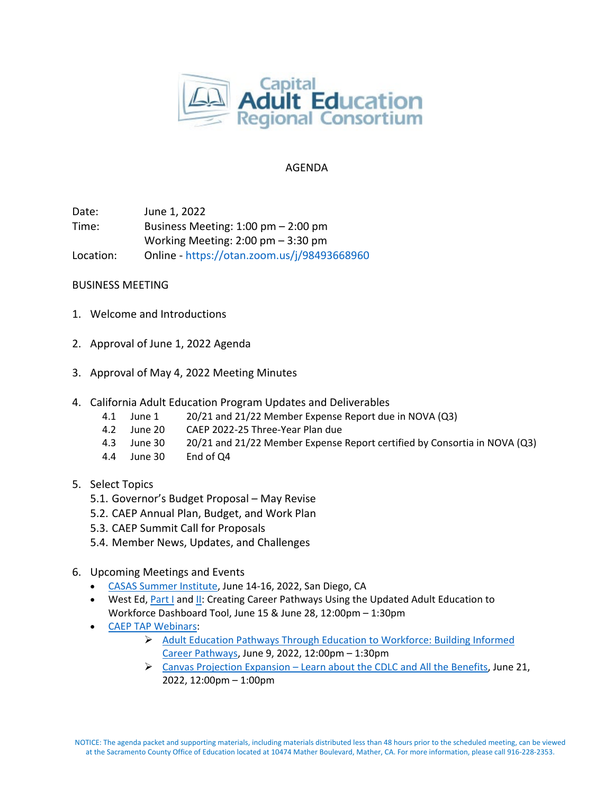

## AGENDA

Date: June 1, 2022 Time: Business Meeting: 1:00 pm – 2:00 pm Working Meeting: 2:00 pm – 3:30 pm Location: Online - <https://otan.zoom.us/j/98493668960>

## BUSINESS MEETING

- 1. Welcome and Introductions
- 2. Approval of June 1, 2022 Agenda
- 3. Approval of May 4, 2022 Meeting Minutes
- 4. California Adult Education Program Updates and Deliverables
	- 4.1 June 1 20/21 and 21/22 Member Expense Report due in NOVA (Q3)
	- 4.2 June 20 CAEP 2022-25 Three-Year Plan due
	- 4.3 June 30 20/21 and 21/22 Member Expense Report certified by Consortia in NOVA (Q3)
	- 4.4 June 30 End of Q4
- 5. Select Topics
	- 5.1. Governor's Budget Proposal May Revise
	- 5.2. CAEP Annual Plan, Budget, and Work Plan
	- 5.3. CAEP Summit Call for Proposals
	- 5.4. Member News, Updates, and Challenges
- 6. Upcoming Meetings and Events
	- [CASAS Summer Institute,](https://www.casas.org/training-and-support/SI/prepare-for-2022) June 14-16, 2022, San Diego, CA
	- West Ed, [Part I](https://register.caladulted.org/Home/EventDetail/553) an[d II:](https://register.caladulted.org/Home/EventDetail/554) Creating Career Pathways Using the Updated Adult Education to Workforce Dashboard Tool, June 15 & June 28, 12:00pm – 1:30pm
	- [CAEP TAP Webinars:](https://caladulted.org/Events)
		- [Adult Education Pathways Through Education to Workforce: Building Informed](https://register.caladulted.org/Home/EventDetail/538)  [Career Pathways,](https://register.caladulted.org/Home/EventDetail/538) June 9, 2022, 12:00pm – 1:30pm
		- $\triangleright$  Canvas Projection Expansion [Learn about the CDLC and All the Benefits,](https://register.caladulted.org/Home/EventDetail/542) June 21, 2022, 12:00pm – 1:00pm